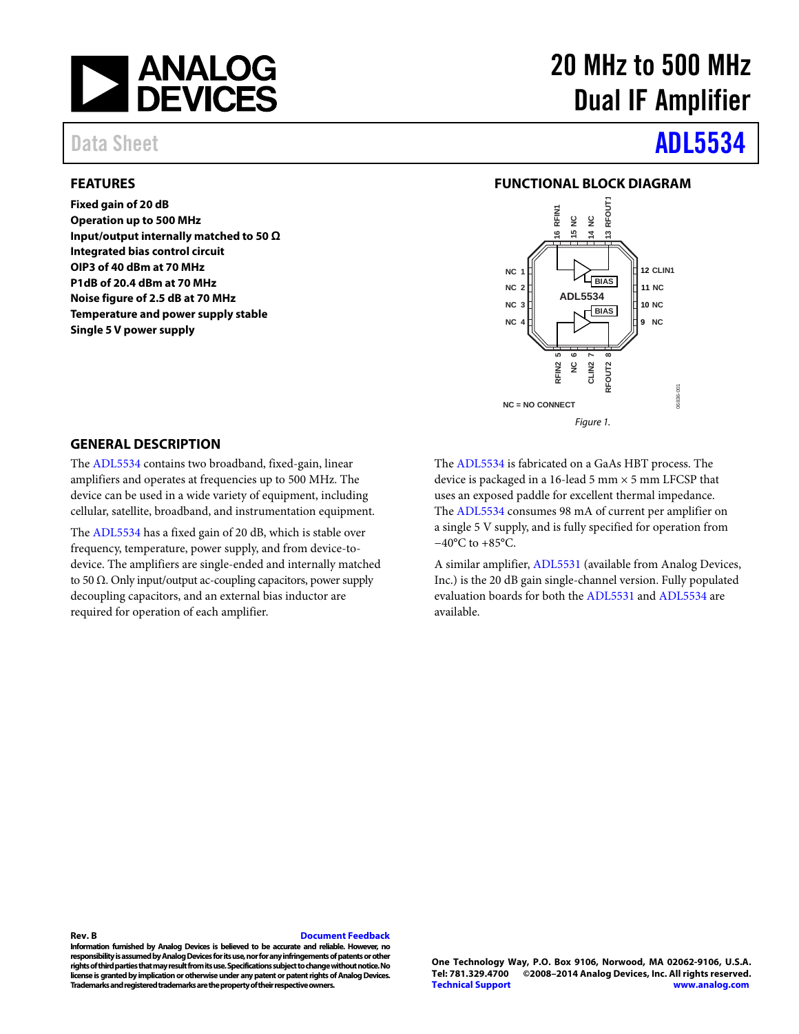

#### <span id="page-0-0"></span>**FEATURES**

**Fixed gain of 20 dB Operation up to 500 MHz Input/output internally matched to 50 Ω Integrated bias control circuit OIP3 of 40 dBm at 70 MHz P1dB of 20.4 dBm at 70 MHz Noise figure of 2.5 dB at 70 MHz Temperature and power supply stable Single 5 V power supply**

# 20 MHz to 500 MHz Dual IF Amplifier

# Data Sheet **[ADL5534](http://www.analog.com/ADL5534?doc=ADL5534.pdf)**

### **FUNCTIONAL BLOCK DIAGRAM**

<span id="page-0-1"></span>

### <span id="page-0-2"></span>**GENERAL DESCRIPTION**

The [ADL5534](http://www.analog.com/ADL5534?doc=ADL5534.pdf) contains two broadband, fixed-gain, linear amplifiers and operates at frequencies up to 500 MHz. The device can be used in a wide variety of equipment, including cellular, satellite, broadband, and instrumentation equipment.

The [ADL5534](http://www.analog.com/ADL5534?doc=ADL5534.pdf) has a fixed gain of 20 dB, which is stable over frequency, temperature, power supply, and from device-todevice. The amplifiers are single-ended and internally matched to 50  $Ω$ . Only input/output ac-coupling capacitors, power supply decoupling capacitors, and an external bias inductor are required for operation of each amplifier.

The [ADL5534](http://www.analog.com/ADL5534?doc=ADL5534.pdf) is fabricated on a GaAs HBT process. The device is packaged in a 16-lead 5 mm  $\times$  5 mm LFCSP that uses an exposed paddle for excellent thermal impedance. The [ADL5534](http://www.analog.com/ADL5534?doc=ADL5534.pdf) consumes 98 mA of current per amplifier on a single 5 V supply, and is fully specified for operation from −40°C to +85°C.

A similar amplifier[, ADL5531](http://www.analog.com/ADL5531?doc=ADL5534.pdf) (available from Analog Devices, Inc.) is the 20 dB gain single-channel version. Fully populated evaluation boards for both th[e ADL5531](http://www.analog.com/ADL5531?doc=ADL5534.pdf) and [ADL5534](http://www.analog.com/ADL5534?doc=ADL5534.pdf) are available.

#### **Rev. B [Document Feedback](https://form.analog.com/Form_Pages/feedback/documentfeedback.aspx?doc=ADL5534.pdf&product=ADL5534&rev=B)**

**Information furnished by Analog Devices is believed to be accurate and reliable. However, no responsibility is assumed by Analog Devices for its use, nor for any infringements of patents or other rights of third parties that may result from its use. Specifications subject to change without notice. No license is granted by implication or otherwise under any patent or patent rights of Analog Devices. Trademarks and registered trademarks are the property of their respective owners.**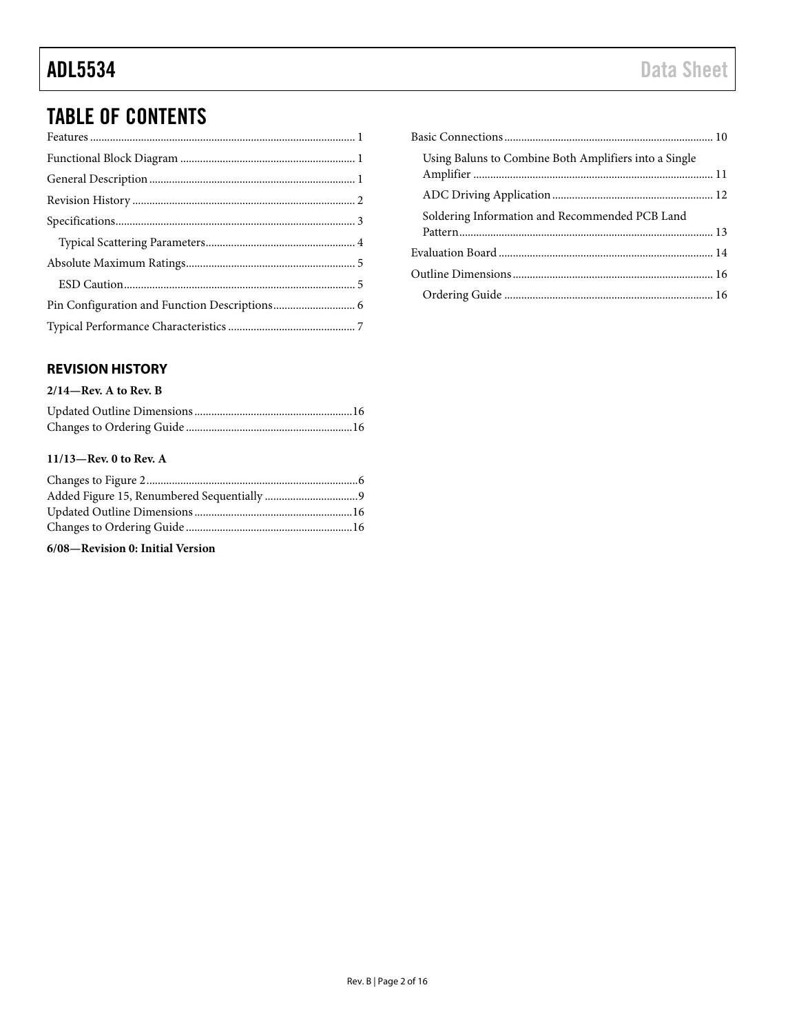## TABLE OF CONTENTS

### <span id="page-1-0"></span>**REVISION HISTORY**

#### **2/14—Rev. A to Rev. B**

### **11/13—Rev. 0 to Rev. A**

**6/08—Revision 0: Initial Version**

| Using Baluns to Combine Both Amplifiers into a Single |  |
|-------------------------------------------------------|--|
|                                                       |  |
| Soldering Information and Recommended PCB Land        |  |
|                                                       |  |
|                                                       |  |
|                                                       |  |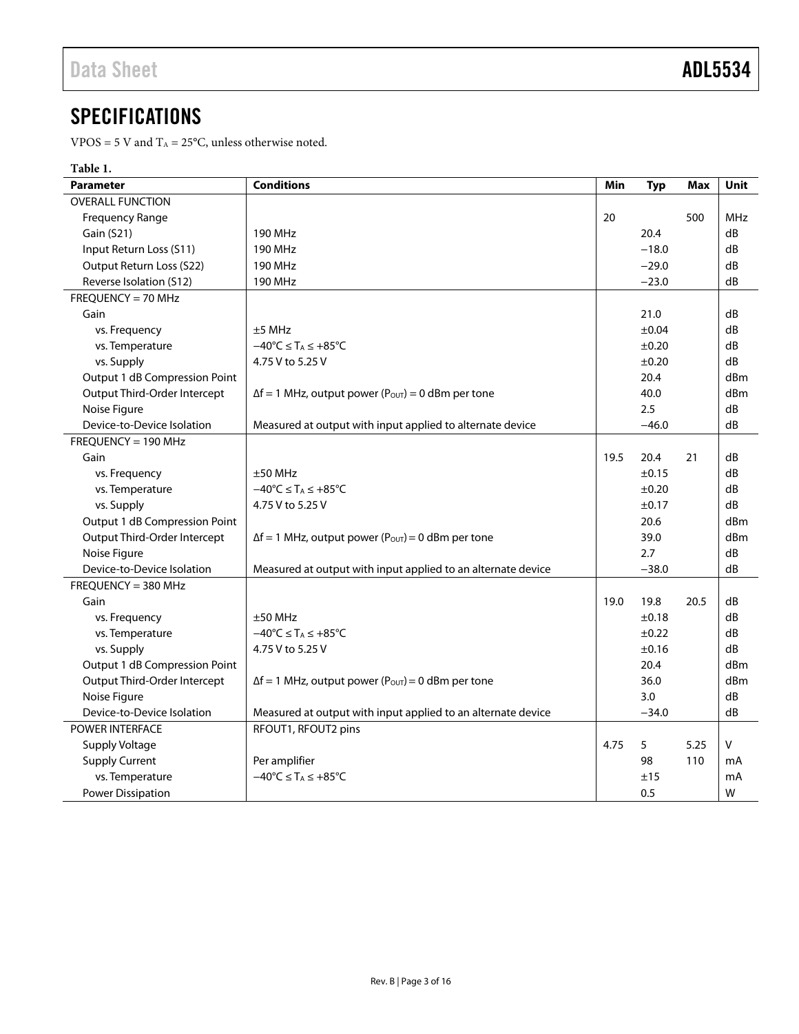## <span id="page-2-0"></span>**SPECIFICATIONS**

VPOS = 5 V and  $T_A = 25$ °C, unless otherwise noted.

### **Table 1.**

| <b>Parameter</b>              | <b>Conditions</b>                                                     | Min  | <b>Typ</b> | Max  | <b>Unit</b>     |
|-------------------------------|-----------------------------------------------------------------------|------|------------|------|-----------------|
| <b>OVERALL FUNCTION</b>       |                                                                       |      |            |      |                 |
| <b>Frequency Range</b>        |                                                                       | 20   |            | 500  | <b>MHz</b>      |
| Gain (S21)                    | <b>190 MHz</b>                                                        |      | 20.4       |      | dB              |
| Input Return Loss (S11)       | <b>190 MHz</b>                                                        |      | $-18.0$    |      | dB              |
| Output Return Loss (S22)      | <b>190 MHz</b>                                                        |      | $-29.0$    |      | dB              |
| Reverse Isolation (S12)       | 190 MHz                                                               |      | $-23.0$    |      | dB              |
| FREQUENCY = 70 MHz            |                                                                       |      |            |      |                 |
| Gain                          |                                                                       |      | 21.0       |      | dB              |
| vs. Frequency                 | $±5$ MHz                                                              |      | ±0.04      |      | dB              |
| vs. Temperature               | $-40^{\circ}C \leq T_A \leq +85^{\circ}C$                             |      | ±0.20      |      | dB              |
| vs. Supply                    | 4.75 V to 5.25 V                                                      |      | ±0.20      |      | dB              |
| Output 1 dB Compression Point |                                                                       |      | 20.4       |      | d <sub>Bm</sub> |
| Output Third-Order Intercept  | $\Delta f = 1$ MHz, output power (Pout) = 0 dBm per tone              |      | 40.0       |      | dBm             |
| Noise Figure                  |                                                                       |      | 2.5        |      | dB              |
| Device-to-Device Isolation    | Measured at output with input applied to alternate device             |      | $-46.0$    |      | dB              |
| FREQUENCY = 190 MHz           |                                                                       |      |            |      |                 |
| Gain                          |                                                                       | 19.5 | 20.4       | 21   | dB              |
| vs. Frequency                 | $±50$ MHz                                                             |      | ±0.15      |      | dB              |
| vs. Temperature               | $-40^{\circ}C \leq T_A \leq +85^{\circ}C$                             |      | ±0.20      |      | dB              |
| vs. Supply                    | 4.75 V to 5.25 V                                                      |      | ±0.17      |      | dB              |
| Output 1 dB Compression Point |                                                                       |      | 20.6       |      | d <sub>Bm</sub> |
| Output Third-Order Intercept  | $\Delta f = 1$ MHz, output power (P <sub>OUT</sub> ) = 0 dBm per tone |      | 39.0       |      | dBm             |
| Noise Figure                  |                                                                       |      | 2.7        |      | dB              |
| Device-to-Device Isolation    | Measured at output with input applied to an alternate device          |      | $-38.0$    |      | dB              |
| $FREOUENCY = 380 MHz$         |                                                                       |      |            |      |                 |
| Gain                          |                                                                       | 19.0 | 19.8       | 20.5 | dB              |
| vs. Frequency                 | $±50$ MHz                                                             |      | ±0.18      |      | dB              |
| vs. Temperature               | $-40^{\circ}C \leq T_A \leq +85^{\circ}C$                             |      | $\pm 0.22$ |      | dB              |
| vs. Supply                    | 4.75 V to 5.25 V                                                      |      | ±0.16      |      | dB              |
| Output 1 dB Compression Point |                                                                       |      | 20.4       |      | d <sub>Bm</sub> |
| Output Third-Order Intercept  | $\Delta f = 1$ MHz, output power (P <sub>OUT</sub> ) = 0 dBm per tone |      | 36.0       |      | d <sub>Bm</sub> |
| Noise Figure                  |                                                                       |      | 3.0        |      | dB              |
| Device-to-Device Isolation    | Measured at output with input applied to an alternate device          |      | $-34.0$    |      | dB              |
| <b>POWER INTERFACE</b>        | RFOUT1, RFOUT2 pins                                                   |      |            |      |                 |
| <b>Supply Voltage</b>         |                                                                       | 4.75 | 5          | 5.25 | V               |
| <b>Supply Current</b>         | Per amplifier                                                         |      | 98         | 110  | mA              |
| vs. Temperature               | $-40^{\circ}$ C $\leq$ T <sub>A</sub> $\leq$ +85 $^{\circ}$ C         |      | ±15        |      | mA              |
| <b>Power Dissipation</b>      |                                                                       |      | 0.5        |      | W               |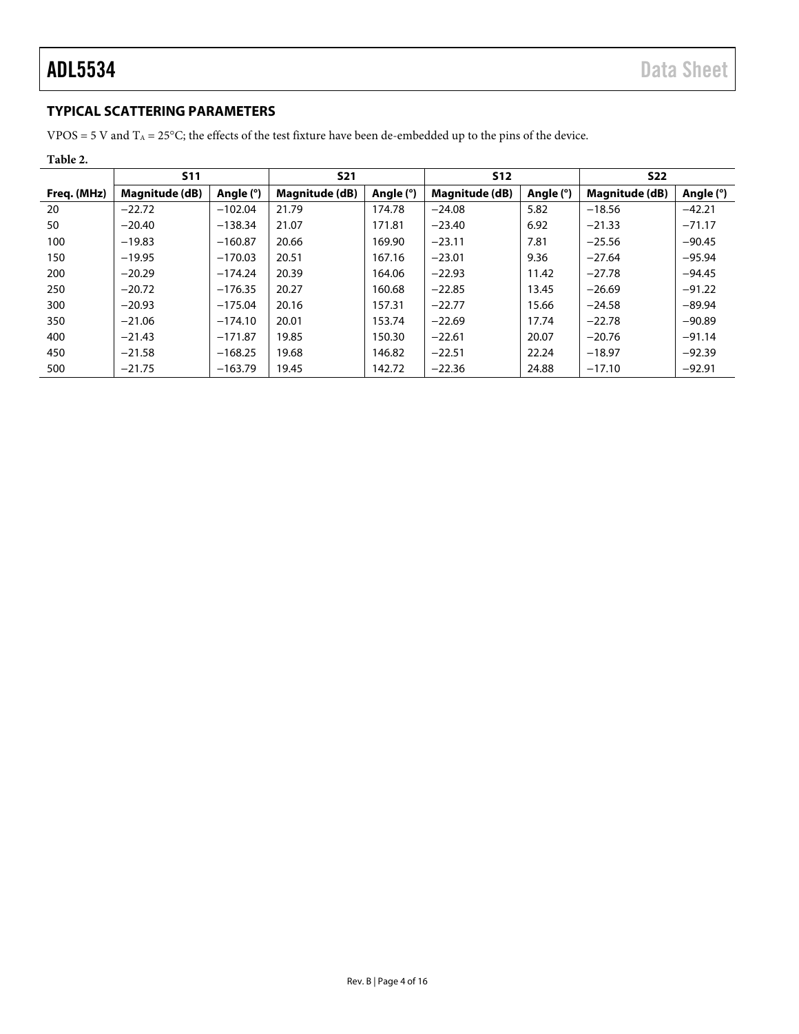### <span id="page-3-0"></span>**TYPICAL SCATTERING PARAMETERS**

VPOS = 5 V and  $T_A$  = 25°C; the effects of the test fixture have been de-embedded up to the pins of the device.

| Table 2.    |                       |             |                |           |                          |           |                       |           |
|-------------|-----------------------|-------------|----------------|-----------|--------------------------|-----------|-----------------------|-----------|
|             | <b>S11</b>            |             | <b>S21</b>     |           | <b>S12</b><br><b>S22</b> |           |                       |           |
| Freq. (MHz) | <b>Magnitude (dB)</b> | Angle $(°)$ | Magnitude (dB) | Angle (°) | Magnitude (dB)           | Angle (°) | <b>Magnitude (dB)</b> | Angle (°) |
| 20          | $-22.72$              | $-102.04$   | 21.79          | 174.78    | $-24.08$                 | 5.82      | $-18.56$              | $-42.21$  |
| 50          | $-20.40$              | $-138.34$   | 21.07          | 171.81    | $-23.40$                 | 6.92      | $-21.33$              | $-71.17$  |
| 100         | $-19.83$              | $-160.87$   | 20.66          | 169.90    | $-23.11$                 | 7.81      | $-25.56$              | $-90.45$  |
| 150         | $-19.95$              | $-170.03$   | 20.51          | 167.16    | $-23.01$                 | 9.36      | $-27.64$              | $-95.94$  |
| 200         | $-20.29$              | $-174.24$   | 20.39          | 164.06    | $-22.93$                 | 11.42     | $-27.78$              | $-94.45$  |
| 250         | $-20.72$              | $-176.35$   | 20.27          | 160.68    | $-22.85$                 | 13.45     | $-26.69$              | $-91.22$  |
| 300         | $-20.93$              | $-175.04$   | 20.16          | 157.31    | $-22.77$                 | 15.66     | $-24.58$              | $-89.94$  |
| 350         | $-21.06$              | $-174.10$   | 20.01          | 153.74    | $-22.69$                 | 17.74     | $-22.78$              | $-90.89$  |
| 400         | $-21.43$              | $-171.87$   | 19.85          | 150.30    | $-22.61$                 | 20.07     | $-20.76$              | $-91.14$  |
| 450         | $-21.58$              | $-168.25$   | 19.68          | 146.82    | $-22.51$                 | 22.24     | $-18.97$              | $-92.39$  |
| 500         | $-21.75$              | $-163.79$   | 19.45          | 142.72    | $-22.36$                 | 24.88     | $-17.10$              | $-92.91$  |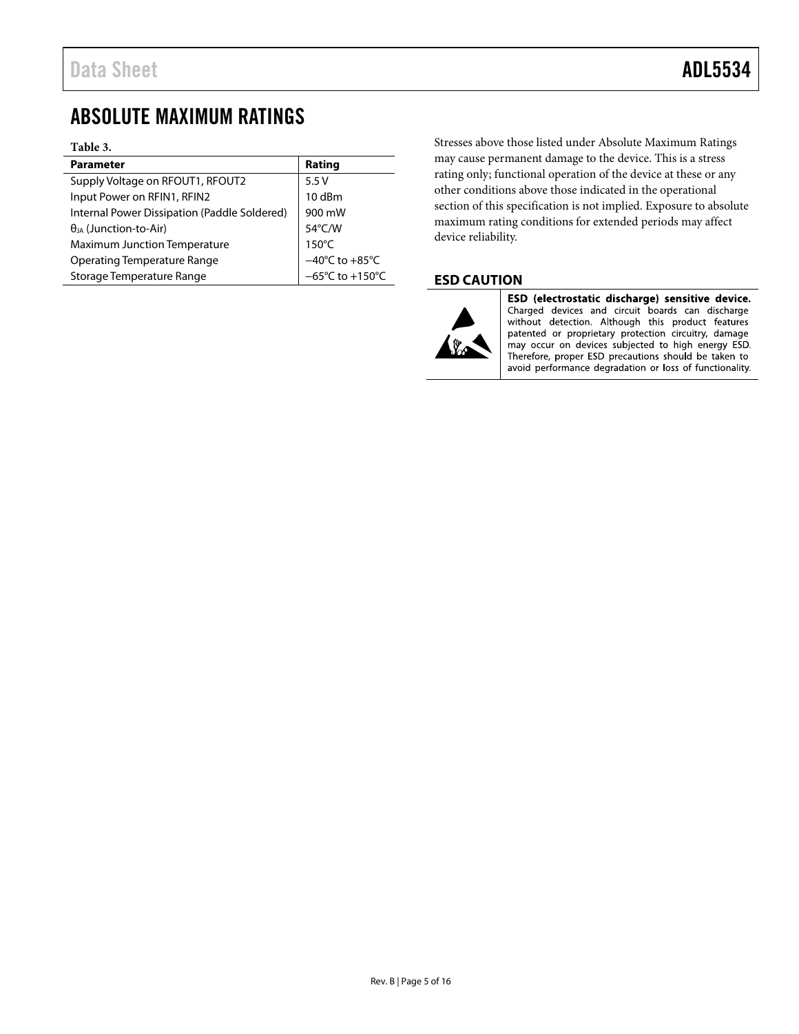## <span id="page-4-0"></span>ABSOLUTE MAXIMUM RATINGS

#### **Table 3.**

| <b>Parameter</b>                             | Rating                              |
|----------------------------------------------|-------------------------------------|
| Supply Voltage on RFOUT1, RFOUT2             | 5.5V                                |
| Input Power on RFIN1, RFIN2                  | 10 dBm                              |
| Internal Power Dissipation (Paddle Soldered) | 900 mW                              |
| $\theta_{JA}$ (Junction-to-Air)              | 54°C/W                              |
| <b>Maximum Junction Temperature</b>          | $150^{\circ}$ C                     |
| <b>Operating Temperature Range</b>           | $-40^{\circ}$ C to $+85^{\circ}$ C  |
| Storage Temperature Range                    | $-65^{\circ}$ C to $+150^{\circ}$ C |

Stresses above those listed under Absolute Maximum Ratings may cause permanent damage to the device. This is a stress rating only; functional operation of the device at these or any other conditions above those indicated in the operational section of this specification is not implied. Exposure to absolute maximum rating conditions for extended periods may affect device reliability.

### <span id="page-4-1"></span>**ESD CAUTION**



ESD (electrostatic discharge) sensitive device. Charged devices and circuit boards can discharge without detection. Although this product features patented or proprietary protection circuitry, damage may occur on devices subjected to high energy ESD. Therefore, proper ESD precautions should be taken to avoid performance degradation or loss of functionality.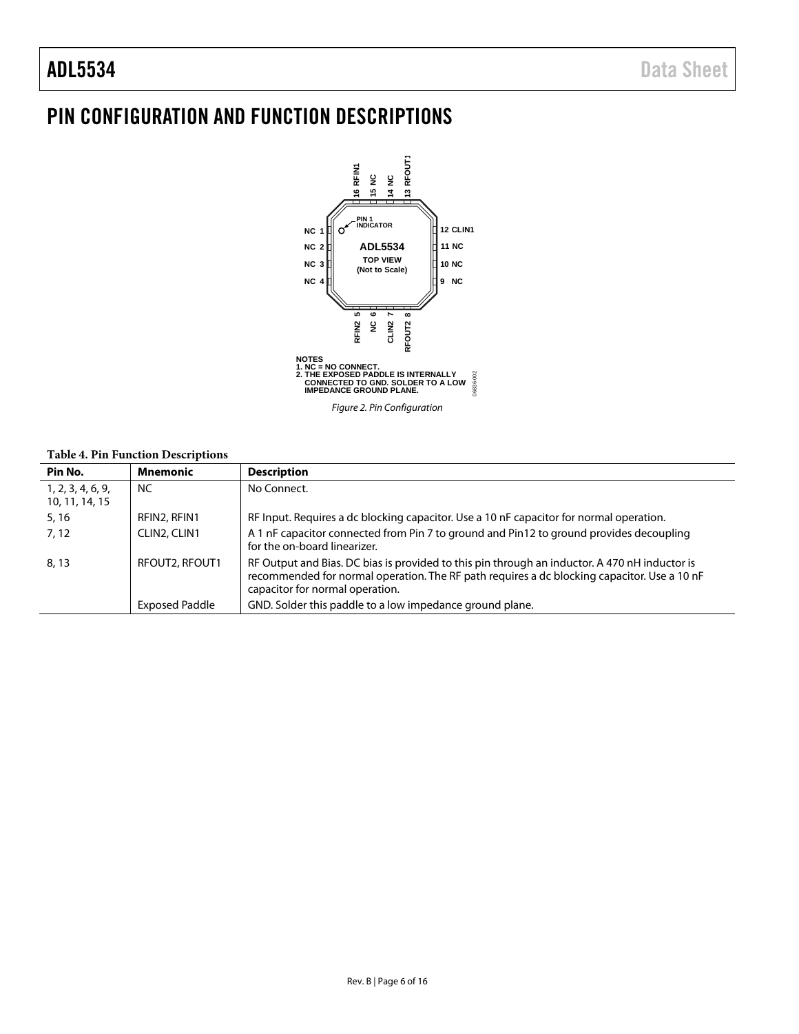## <span id="page-5-0"></span>PIN CONFIGURATION AND FUNCTION DESCRIPTIONS



### **Table 4. Pin Function Descriptions**

| Pin No.                             | <b>Mnemonic</b>       | <b>Description</b>                                                                                                                                                                                                              |
|-------------------------------------|-----------------------|---------------------------------------------------------------------------------------------------------------------------------------------------------------------------------------------------------------------------------|
| 1, 2, 3, 4, 6, 9,<br>10, 11, 14, 15 | <b>NC</b>             | No Connect.                                                                                                                                                                                                                     |
| 5, 16                               | RFIN2, RFIN1          | RF Input. Requires a dc blocking capacitor. Use a 10 nF capacitor for normal operation.                                                                                                                                         |
| 7, 12                               | CLIN2, CLIN1          | A 1 nF capacitor connected from Pin 7 to ground and Pin12 to ground provides decoupling<br>for the on-board linearizer.                                                                                                         |
| 8, 13                               | RFOUT2, RFOUT1        | RF Output and Bias. DC bias is provided to this pin through an inductor. A 470 nH inductor is<br>recommended for normal operation. The RF path requires a dc blocking capacitor. Use a 10 nF<br>capacitor for normal operation. |
|                                     | <b>Exposed Paddle</b> | GND. Solder this paddle to a low impedance ground plane.                                                                                                                                                                        |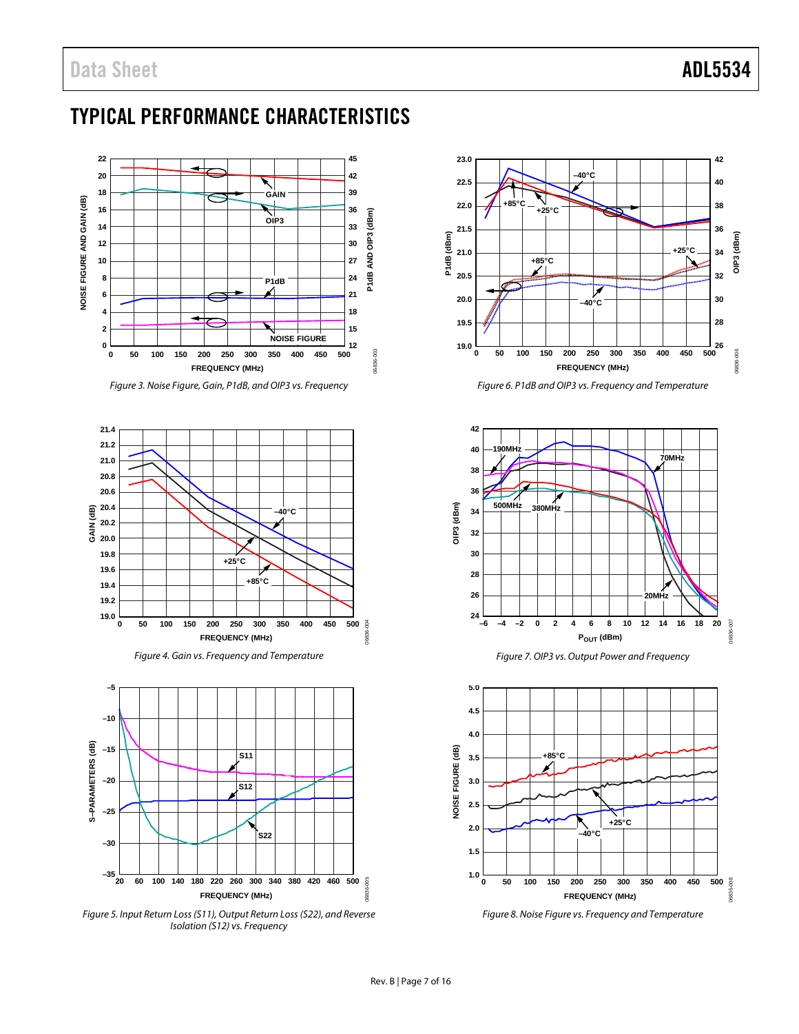## <span id="page-6-0"></span>TYPICAL PERFORMANCE CHARACTERISTICS



*Figure 3. Noise Figure, Gain, P1dB, and OIP3 vs. Frequency*



*Figure 4. Gain vs. Frequency and Temperature*



*Figure 5. Input Return Loss(S11), Output Return Loss(S22), and Reverse Isolation (S12) vs. Frequency*



*Figure 6. P1dB and OIP3 vs. Frequency and Temperature*





*Figure 8. Noise Figure vs. Frequency and Temperature*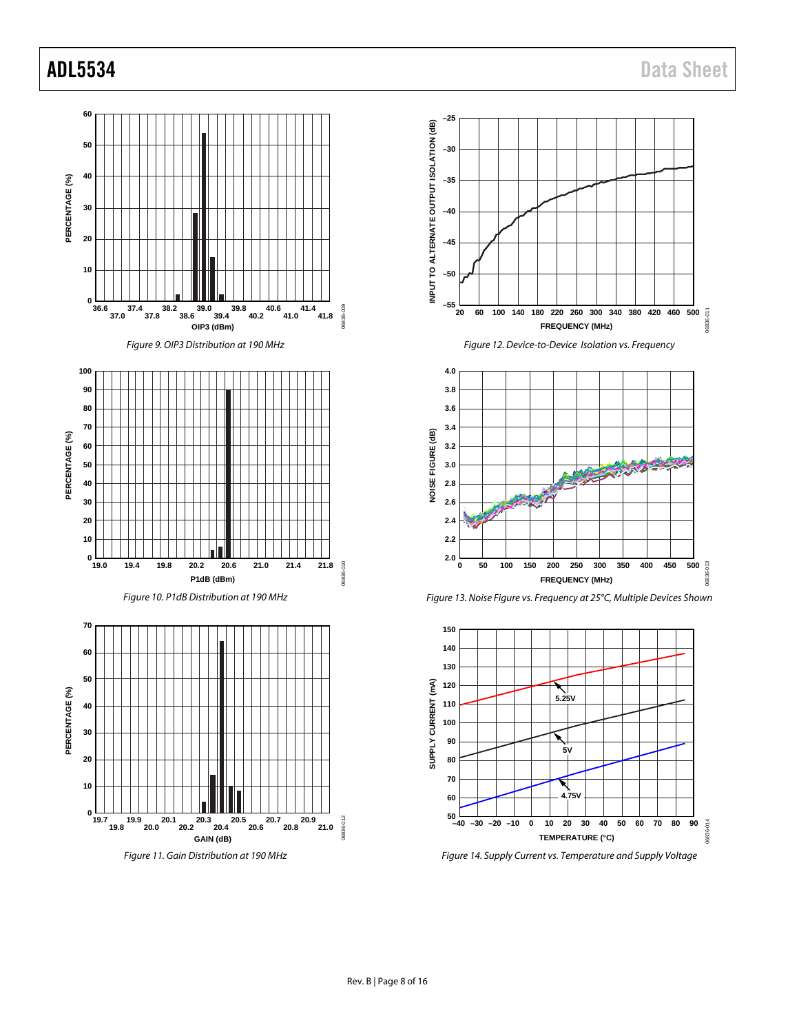

*Figure 11. Gain Distribution at 190 MHz*











*Figure 14. Supply Current vs. Temperature and Supply Voltage*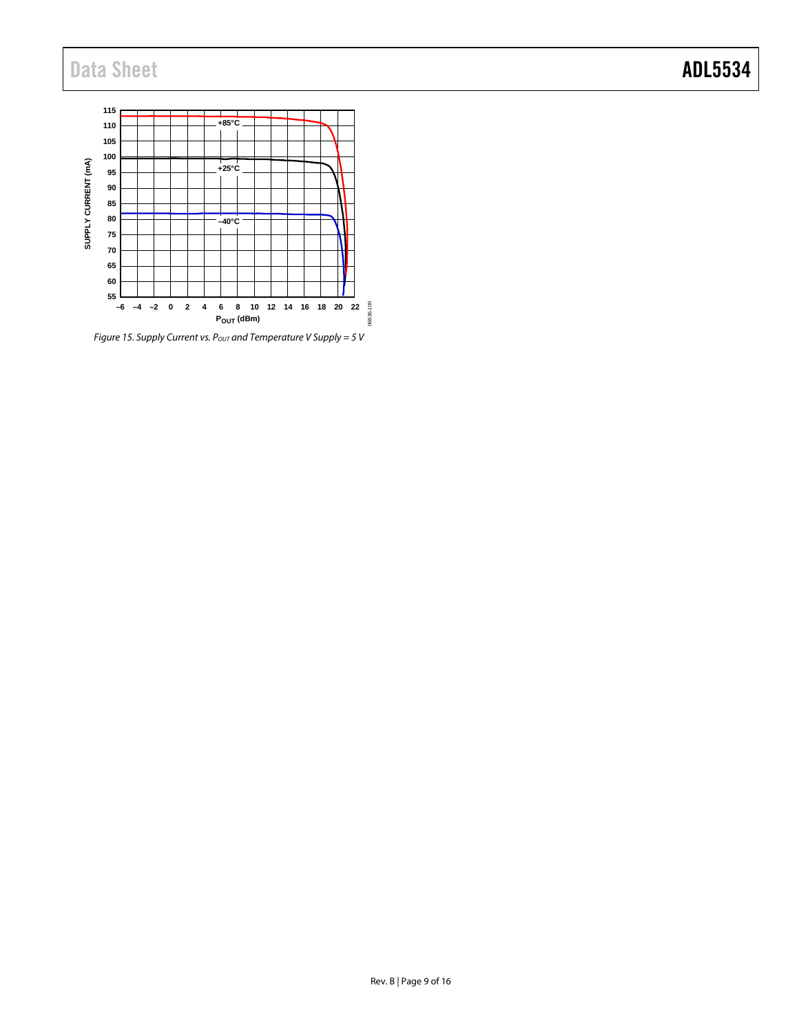## Data Sheet **ADL5534**



*Figure 15. Supply Current vs. Pout and Temperature V Supply = 5 V*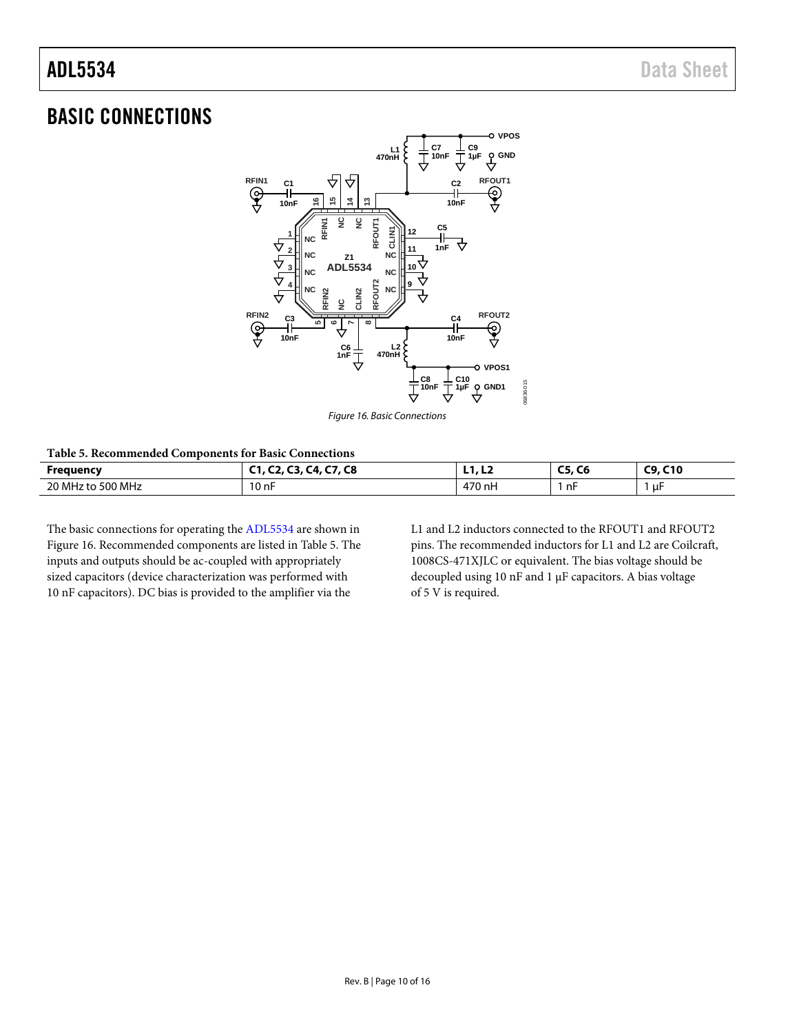### <span id="page-9-0"></span>BASIC CONNECTIONS



*Figure 16. Basic Connections*

<span id="page-9-2"></span><span id="page-9-1"></span>**Table 5. Recommended Components for Basic Connections**

| Frequency                                      | $\overline{\phantom{a}}$<br>c <sup>o</sup><br><b>CO</b><br>. .<br>- | .                                                                                        | $-$<br>--<br>w<br> | . C10<br><b>rn</b> |
|------------------------------------------------|---------------------------------------------------------------------|------------------------------------------------------------------------------------------|--------------------|--------------------|
| , MH-<br>500 MHz<br>$\mathcal{L}$<br>ιω<br>- 7 | $\sim$<br>10 nF<br>the contract of the contract of the              | 170<br>.70 nH<br>$\prime\prime\prime$<br>the contract of the contract of the contract of | −n⊦                | uŀ                 |

The basic connections for operating th[e ADL5534](http://www.analog.com/ADL5534?doc=ADL5534.pdf) are shown in [Figure 16.](#page-9-1) Recommended components are listed in [Table 5.](#page-9-2) The inputs and outputs should be ac-coupled with appropriately sized capacitors (device characterization was performed with 10 nF capacitors). DC bias is provided to the amplifier via the

L1 and L2 inductors connected to the RFOUT1 and RFOUT2 pins. The recommended inductors for L1 and L2 are Coilcraft, 1008CS-471XJLC or equivalent. The bias voltage should be decoupled using 10 nF and 1 μF capacitors. A bias voltage of 5 V is required.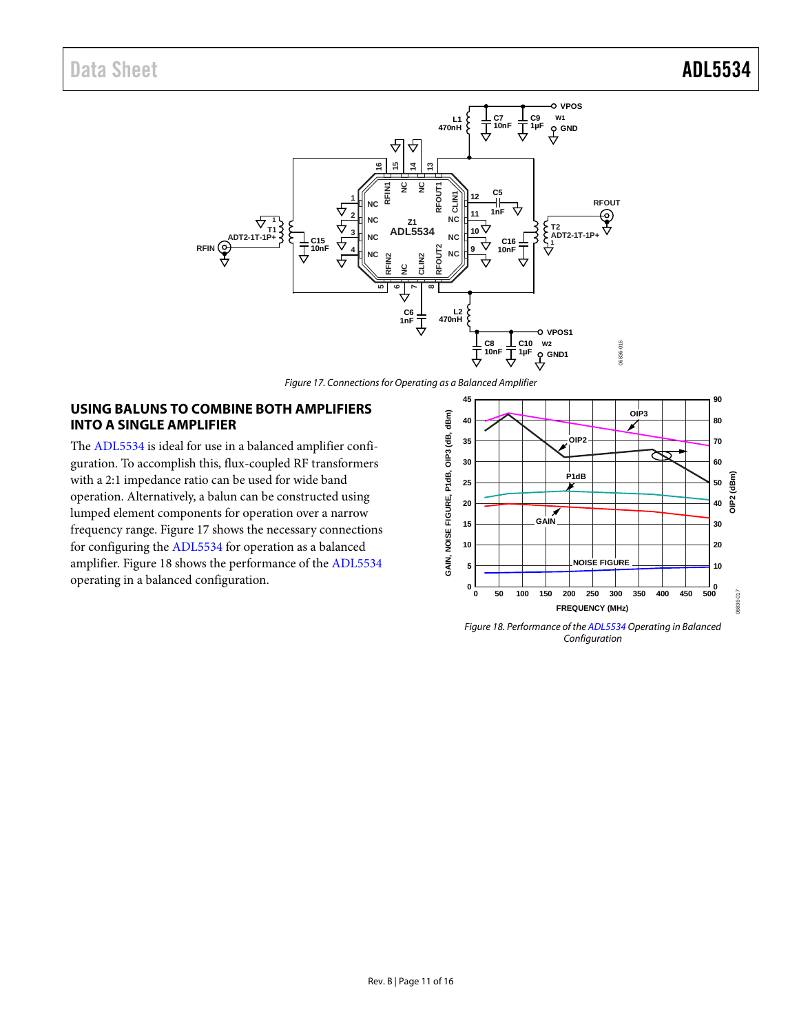

*Figure 17. Connections for Operating as a Balanced Amplifier* 

### <span id="page-10-0"></span>**USING BALUNS TO COMBINE BOTH AMPLIFIERS INTO A SINGLE AMPLIFIER**

The [ADL5534](http://www.analog.com/ADL5534?doc=ADL5534.pdf) is ideal for use in a balanced amplifier configuration. To accomplish this, flux-coupled RF transformers with a 2:1 impedance ratio can be used for wide band operation. Alternatively, a balun can be constructed using lumped element components for operation over a narrow frequency range. [Figure 17](#page-10-1) shows the necessary connections for configuring the [ADL5534](http://www.analog.com/ADL5534?doc=ADL5534.pdf) for operation as a balanced amplifier. [Figure 18](#page-10-2) shows the performance of the [ADL5534](http://www.analog.com/ADL5534?doc=ADL5534.pdf)

<span id="page-10-1"></span>

<span id="page-10-2"></span>*Figure 18. Performance of th[e ADL5534](http://www.analog.com/ADL5534?doc=ADL5534.pdf) Operating in Balanced Configuration*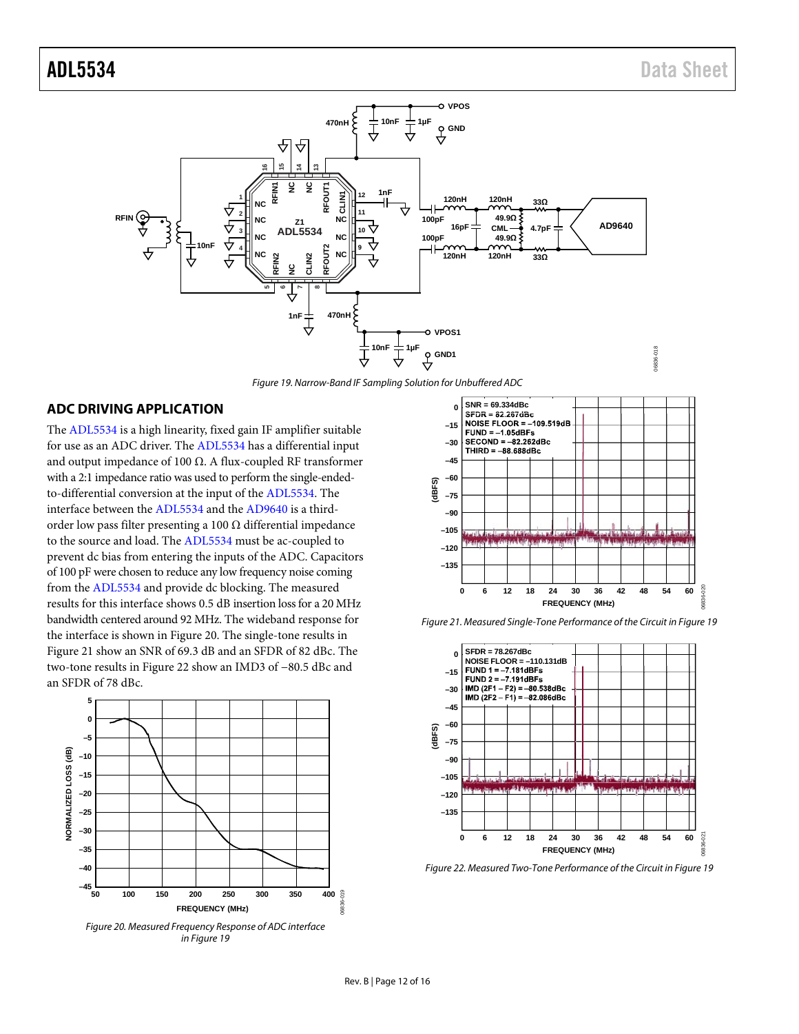![](_page_11_Figure_2.jpeg)

*Figure 19. Narrow-Band IF Sampling Solution for Unbuffered ADC*

### <span id="page-11-4"></span><span id="page-11-0"></span>**ADC DRIVING APPLICATION**

The [ADL5534](http://www.analog.com/ADL5534?doc=ADL5534.pdf) is a high linearity, fixed gain IF amplifier suitable for use as an ADC driver. The [ADL5534](http://www.analog.com/ADL5534?doc=ADL5534.pdf) has a differential input and output impedance of 100 Ω. A flux-coupled RF transformer with a 2:1 impedance ratio was used to perform the single-endedto-differential conversion at the input of the [ADL5534.](http://www.analog.com/ADL5534?doc=ADL5534.pdf) The interface between the [ADL5534](http://www.analog.com/ADL5534?doc=ADL5534.pdf) and th[e AD9640](http://www.analog.com/AD9640?doc=ADL5534.pdf) is a thirdorder low pass filter presenting a 100  $\Omega$  differential impedance to the source and load. Th[e ADL5534](http://www.analog.com/ADL5534?doc=ADL5534.pdf) must be ac-coupled to prevent dc bias from entering the inputs of the ADC. Capacitors of 100 pF were chosen to reduce any low frequency noise coming from the [ADL5534](http://www.analog.com/ADL5534?doc=ADL5534.pdf) and provide dc blocking. The measured results for this interface shows 0.5 dB insertion loss for a 20 MHz bandwidth centered around 92 MHz. The wideband response for the interface is shown i[n Figure 20.](#page-11-1) The single-tone results in [Figure 21](#page-11-2) show an SNR of 69.3 dB and an SFDR of 82 dBc. The two-tone results in [Figure](#page-11-3) 22 show an IMD3 of −80.5 dBc and an SFDR of 78 dBc.

![](_page_11_Figure_6.jpeg)

<span id="page-11-1"></span>*Figure 20. Measured Frequency Response of ADC interface i[n Figure 19](#page-11-4)*

![](_page_11_Figure_8.jpeg)

<span id="page-11-2"></span>*Figure 21. Measured Single-Tone Performance of the Circuit i[n Figure 19](#page-11-4)*

![](_page_11_Figure_10.jpeg)

<span id="page-11-3"></span>*Figure 22. Measured Two-Tone Performance of the Circuit i[n Figure 19](#page-11-4)*

06836-019

 $19$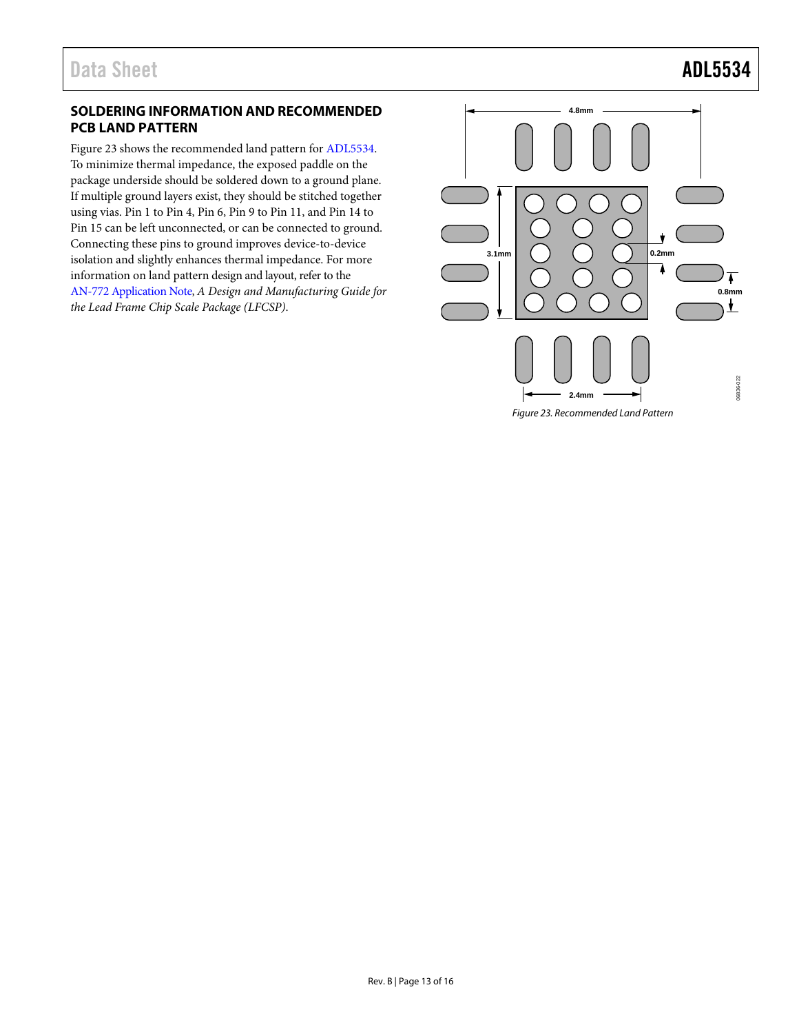### <span id="page-12-0"></span>**SOLDERING INFORMATION AND RECOMMENDED PCB LAND PATTERN**

[Figure 23](#page-12-1) shows the recommended land pattern for [ADL5534.](http://www.analog.com/ADL5534?doc=ADL5534.pdf) To minimize thermal impedance, the exposed paddle on the package underside should be soldered down to a ground plane. If multiple ground layers exist, they should be stitched together using vias. Pin 1 to Pin 4, Pin 6, Pin 9 to Pin 11, and Pin 14 to Pin 15 can be left unconnected, or can be connected to ground. Connecting these pins to ground improves device-to-device isolation and slightly enhances thermal impedance. For more information on land pattern design and layout, refer to the [AN-772 Application Note,](http://www.analog.com/AN-772?doc=ADL5534.pdf) *A Design and Manufacturing Guide for the Lead Frame Chip Scale Package (LFCSP)*.

<span id="page-12-1"></span>![](_page_12_Figure_4.jpeg)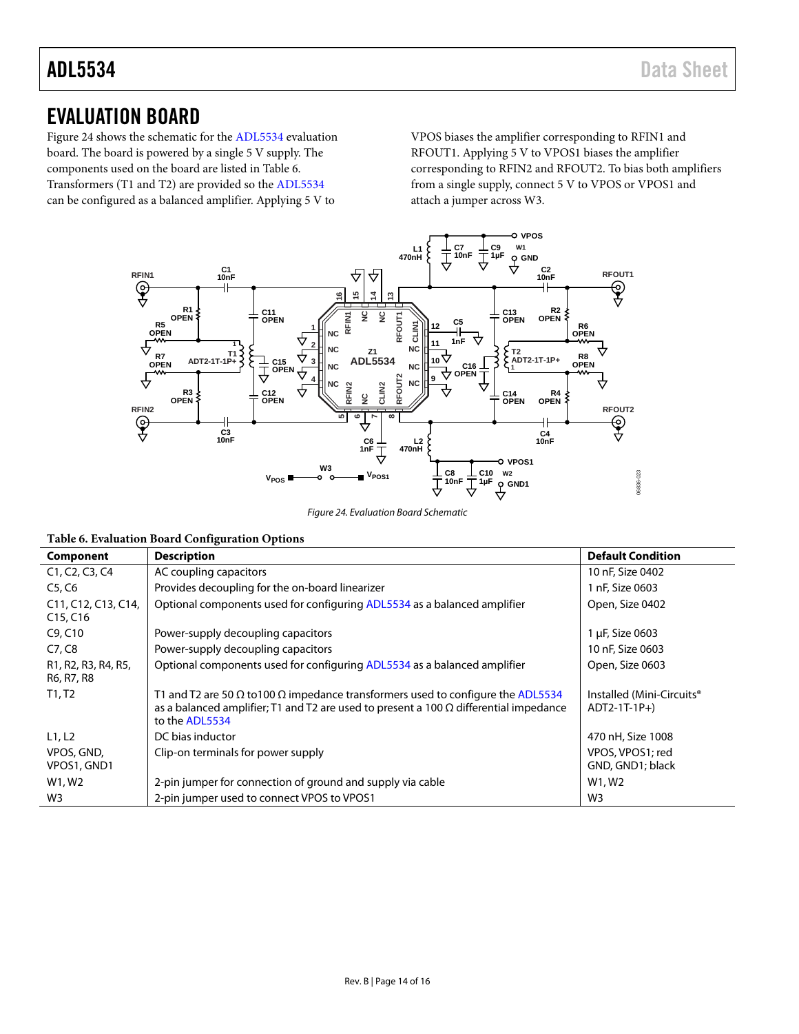### <span id="page-13-0"></span>EVALUATION BOARD

[Figure 24](#page-13-1) shows the schematic for th[e ADL5534](http://www.analog.com/ADL5534?doc=ADL5534.pdf) evaluation board. The board is powered by a single 5 V supply. The components used on the board are listed i[n Table 6.](#page-13-2)  Transformers (T1 and T2) are provided so the [ADL5534](http://www.analog.com/ADL5534?doc=ADL5534.pdf) can be configured as a balanced amplifier. Applying 5 V to

VPOS biases the amplifier corresponding to RFIN1 and RFOUT1. Applying 5 V to VPOS1 biases the amplifier corresponding to RFIN2 and RFOUT2. To bias both amplifiers from a single supply, connect 5 V to VPOS or VPOS1 and attach a jumper across W3.

![](_page_13_Figure_5.jpeg)

*Figure 24. Evaluation Board Schematic*

<span id="page-13-2"></span><span id="page-13-1"></span>

|  |  |  | Table 6. Evaluation Board Configuration Options |  |
|--|--|--|-------------------------------------------------|--|
|--|--|--|-------------------------------------------------|--|

| Component                                                         | <b>Description</b>                                                                                                                                                                                               | <b>Default Condition</b>                   |
|-------------------------------------------------------------------|------------------------------------------------------------------------------------------------------------------------------------------------------------------------------------------------------------------|--------------------------------------------|
| C <sub>1</sub> , C <sub>2</sub> , C <sub>3</sub> , C <sub>4</sub> | AC coupling capacitors                                                                                                                                                                                           | 10 nF, Size 0402                           |
| C5, C6                                                            | Provides decoupling for the on-board linearizer                                                                                                                                                                  | 1 nF, Size 0603                            |
| C11, C12, C13, C14,<br>C15, C16                                   | Optional components used for configuring ADL5534 as a balanced amplifier                                                                                                                                         | Open, Size 0402                            |
| C9, C10                                                           | Power-supply decoupling capacitors                                                                                                                                                                               | 1 µF, Size 0603                            |
| C7, C8                                                            | Power-supply decoupling capacitors                                                                                                                                                                               | 10 nF, Size 0603                           |
| R1, R2, R3, R4, R5,<br>R6, R7, R8                                 | Optional components used for configuring ADL5534 as a balanced amplifier                                                                                                                                         | Open, Size 0603                            |
| T1, T2                                                            | T1 and T2 are 50 $\Omega$ to 100 $\Omega$ impedance transformers used to configure the ADL5534<br>as a balanced amplifier; T1 and T2 are used to present a 100 $\Omega$ differential impedance<br>to the ADL5534 | Installed (Mini-Circuits®<br>$ADT2-1T-1P+$ |
| L1, L2                                                            | DC bias inductor                                                                                                                                                                                                 | 470 nH, Size 1008                          |
| VPOS, GND,<br>VPOS1, GND1                                         | Clip-on terminals for power supply                                                                                                                                                                               | VPOS, VPOS1; red<br>GND, GND1; black       |
| W1, W2                                                            | 2-pin jumper for connection of ground and supply via cable                                                                                                                                                       | W1, W2                                     |
| W <sub>3</sub>                                                    | 2-pin jumper used to connect VPOS to VPOS1                                                                                                                                                                       | W3                                         |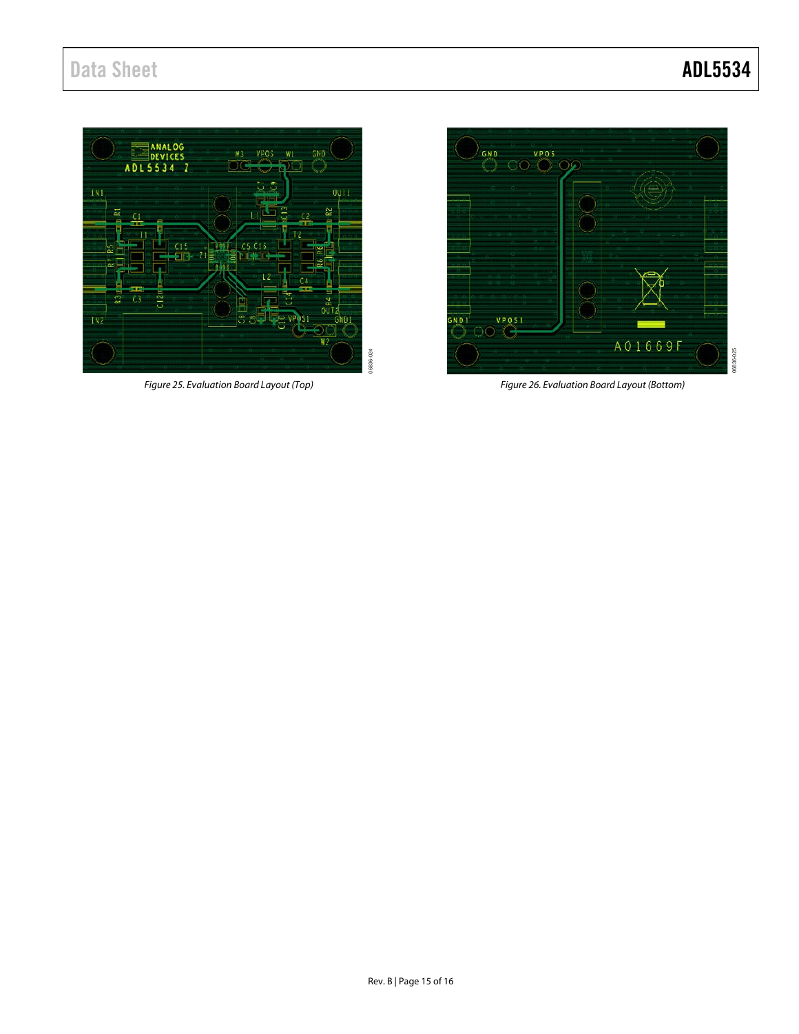## Data Sheet **ADL5534**

06836-025

![](_page_14_Figure_2.jpeg)

*Figure 25. Evaluation Board Layout (Top)*

![](_page_14_Figure_4.jpeg)

*Figure 26. Evaluation Board Layout (Bottom)*